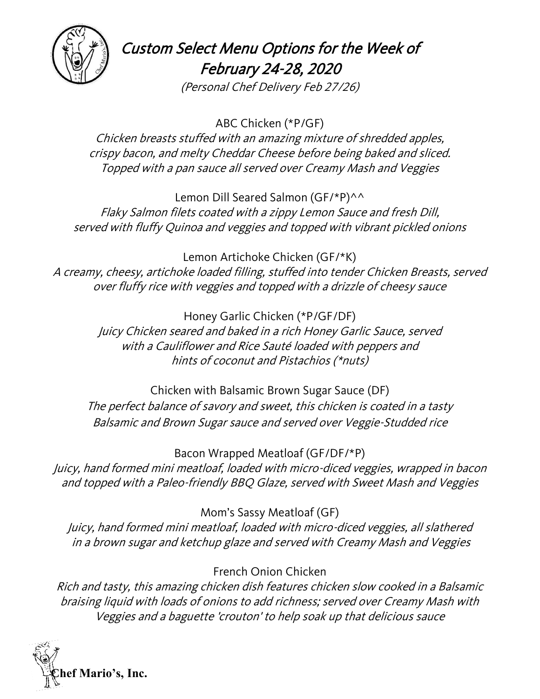

Custom Select Menu Options for the Week of February 24-28, 2020

(Personal Chef Delivery Feb 27/26)

ABC Chicken (\*P/GF) Chicken breasts stuffed with an amazing mixture of shredded apples, crispy bacon, and melty Cheddar Cheese before being baked and sliced. Topped with a pan sauce all served over Creamy Mash and Veggies

Lemon Dill Seared Salmon (GF/\*P)^^ Flaky Salmon filets coated with a zippy Lemon Sauce and fresh Dill, served with fluffy Quinoa and veggies and topped with vibrant pickled onions

Lemon Artichoke Chicken (GF/\*K) A creamy, cheesy, artichoke loaded filling, stuffed into tender Chicken Breasts, served over fluffy rice with veggies and topped with a drizzle of cheesy sauce

> Honey Garlic Chicken (\*P/GF/DF) Juicy Chicken seared and baked in a rich Honey Garlic Sauce, served with a Cauliflower and Rice Sauté loaded with peppers and hints of coconut and Pistachios (\*nuts)

Chicken with Balsamic Brown Sugar Sauce (DF) The perfect balance of savory and sweet, this chicken is coated in a tasty Balsamic and Brown Sugar sauce and served over Veggie-Studded rice

Bacon Wrapped Meatloaf (GF/DF/\*P) Juicy, hand formed mini meatloaf, loaded with micro-diced veggies, wrapped in bacon and topped with a Paleo-friendly BBQ Glaze, served with Sweet Mash and Veggies

Mom's Sassy Meatloaf (GF)

Juicy, hand formed mini meatloaf, loaded with micro-diced veggies, all slathered in a brown sugar and ketchup glaze and served with Creamy Mash and Veggies

French Onion Chicken

Rich and tasty, this amazing chicken dish features chicken slow cooked in a Balsamic braising liquid with loads of onions to add richness; served over Creamy Mash with Veggies and a baguette 'crouton' to help soak up that delicious sauce